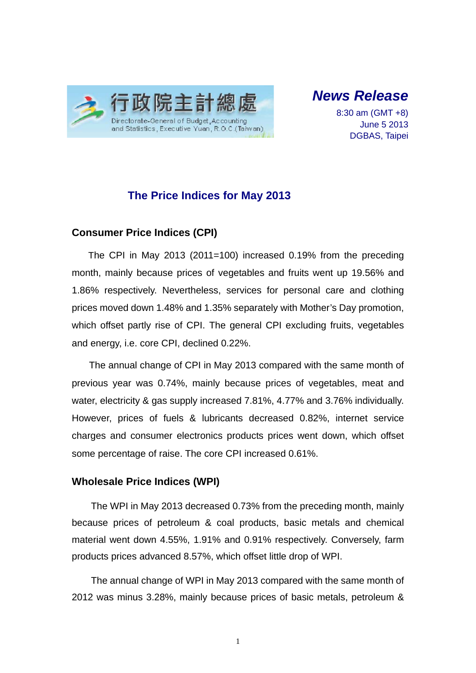

*News Release* 

8:30 am (GMT +8) June 5 2013 DGBAS, Taipei

### **The Price Indices for May 2013**

#### **Consumer Price Indices (CPI)**

The CPI in May 2013 (2011=100) increased 0.19% from the preceding month, mainly because prices of vegetables and fruits went up 19.56% and 1.86% respectively. Nevertheless, services for personal care and clothing prices moved down 1.48% and 1.35% separately with Mother's Day promotion, which offset partly rise of CPI. The general CPI excluding fruits, vegetables and energy, i.e. core CPI, declined 0.22%.

The annual change of CPI in May 2013 compared with the same month of previous year was 0.74%, mainly because prices of vegetables, meat and water, electricity & gas supply increased 7.81%, 4.77% and 3.76% individually. However, prices of fuels & lubricants decreased 0.82%, internet service charges and consumer electronics products prices went down, which offset some percentage of raise. The core CPI increased 0.61%.

#### **Wholesale Price Indices (WPI)**

The WPI in May 2013 decreased 0.73% from the preceding month, mainly because prices of petroleum & coal products, basic metals and chemical material went down 4.55%, 1.91% and 0.91% respectively. Conversely, farm products prices advanced 8.57%, which offset little drop of WPI.

The annual change of WPI in May 2013 compared with the same month of 2012 was minus 3.28%, mainly because prices of basic metals, petroleum &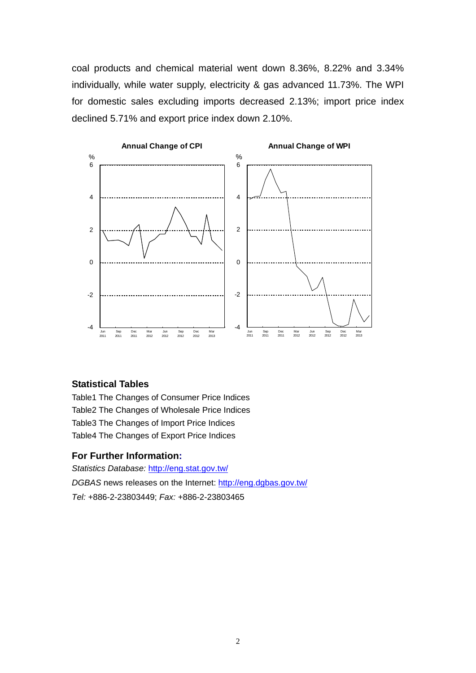coal products and chemical material went down 8.36%, 8.22% and 3.34% individually, while water supply, electricity & gas advanced 11.73%. The WPI for domestic sales excluding imports decreased 2.13%; import price index declined 5.71% and export price index down 2.10%.



#### **Statistical Tables**

Table1 The Changes of Consumer Price Indices Table2 The Changes of Wholesale Price Indices Table3 The Changes of Import Price Indices Table4 The Changes of Export Price Indices

#### **For Further Information:**

*Statistics Database:* http://eng.stat.gov.tw/ *DGBAS* news releases on the Internet: http://eng.dgbas.gov.tw/ *Tel:* +886-2-23803449; *Fax:* +886-2-23803465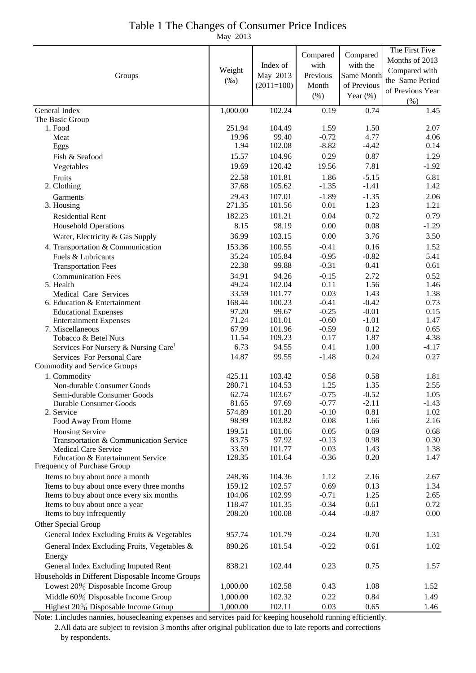## Table 1 The Changes of Consumer Price Indices

May 2013

| Groups                                                           | Weight<br>$(\%0)$ | Index of<br>May 2013<br>$(2011=100)$ | Compared<br>with<br>Previous<br>Month<br>(% ) | Compared<br>with the<br>Same Month<br>of Previous<br>Year $(\%)$ | The First Five<br>Months of 2013<br>Compared with<br>the Same Period<br>of Previous Year<br>(% ) |
|------------------------------------------------------------------|-------------------|--------------------------------------|-----------------------------------------------|------------------------------------------------------------------|--------------------------------------------------------------------------------------------------|
| General Index                                                    | 1,000.00          | 102.24                               | 0.19                                          | 0.74                                                             | 1.45                                                                                             |
| The Basic Group                                                  |                   |                                      |                                               |                                                                  |                                                                                                  |
| 1. Food                                                          | 251.94<br>19.96   | 104.49<br>99.40                      | 1.59<br>$-0.72$                               | 1.50<br>4.77                                                     | 2.07                                                                                             |
| Meat<br>Eggs                                                     | 1.94              | 102.08                               | $-8.82$                                       | $-4.42$                                                          | 4.06<br>0.14                                                                                     |
| Fish & Seafood                                                   | 15.57             | 104.96                               | 0.29                                          | 0.87                                                             | 1.29                                                                                             |
| Vegetables                                                       | 19.69             | 120.42                               | 19.56                                         | 7.81                                                             | $-1.92$                                                                                          |
| Fruits                                                           | 22.58             | 101.81                               | 1.86                                          | $-5.15$                                                          | 6.81                                                                                             |
| 2. Clothing                                                      | 37.68             | 105.62                               | $-1.35$                                       | $-1.41$                                                          | 1.42                                                                                             |
| Garments                                                         | 29.43             | 107.01                               | $-1.89$                                       | $-1.35$                                                          | 2.06                                                                                             |
| 3. Housing                                                       | 271.35            | 101.56                               | 0.01                                          | 1.23                                                             | 1.21                                                                                             |
| <b>Residential Rent</b>                                          | 182.23            | 101.21                               | 0.04                                          | 0.72                                                             | 0.79                                                                                             |
| <b>Household Operations</b>                                      | 8.15              | 98.19                                | 0.00                                          | 0.08                                                             | $-1.29$                                                                                          |
| Water, Electricity & Gas Supply                                  | 36.99             | 103.15                               | 0.00                                          | 3.76                                                             | 3.50                                                                                             |
| 4. Transportation & Communication                                | 153.36            | 100.55                               | $-0.41$                                       | 0.16                                                             | 1.52                                                                                             |
| Fuels & Lubricants                                               | 35.24             | 105.84                               | $-0.95$                                       | $-0.82$                                                          | 5.41                                                                                             |
| <b>Transportation Fees</b>                                       | 22.38             | 99.88                                | $-0.31$                                       | 0.41                                                             | 0.61                                                                                             |
| <b>Communication Fees</b>                                        | 34.91             | 94.26                                | $-0.15$                                       | 2.72                                                             | 0.52                                                                                             |
| 5. Health                                                        | 49.24             | 102.04                               | 0.11                                          | 1.56                                                             | 1.46                                                                                             |
| Medical Care Services                                            | 33.59             | 101.77                               | 0.03                                          | 1.43                                                             | 1.38                                                                                             |
| 6. Education & Entertainment<br><b>Educational Expenses</b>      | 168.44<br>97.20   | 100.23<br>99.67                      | $-0.41$<br>$-0.25$                            | $-0.42$<br>$-0.01$                                               | 0.73<br>0.15                                                                                     |
| <b>Entertainment Expenses</b>                                    | 71.24             | 101.01                               | $-0.60$                                       | $-1.01$                                                          | 1.47                                                                                             |
| 7. Miscellaneous                                                 | 67.99             | 101.96                               | $-0.59$                                       | 0.12                                                             | 0.65                                                                                             |
| Tobacco & Betel Nuts                                             | 11.54             | 109.23                               | 0.17                                          | 1.87                                                             | 4.38                                                                                             |
| Services For Nursery & Nursing Care <sup>1</sup>                 | 6.73              | 94.55                                | 0.41                                          | 1.00                                                             | $-4.17$                                                                                          |
| Services For Personal Care                                       | 14.87             | 99.55                                | $-1.48$                                       | 0.24                                                             | 0.27                                                                                             |
| Commodity and Service Groups                                     |                   |                                      |                                               |                                                                  |                                                                                                  |
| 1. Commodity                                                     | 425.11            | 103.42                               | 0.58                                          | 0.58                                                             | 1.81                                                                                             |
| Non-durable Consumer Goods<br>Semi-durable Consumer Goods        | 280.71<br>62.74   | 104.53<br>103.67                     | 1.25<br>$-0.75$                               | 1.35<br>$-0.52$                                                  | 2.55<br>1.05                                                                                     |
| <b>Durable Consumer Goods</b>                                    | 81.65             | 97.69                                | $-0.77$                                       | $-2.11$                                                          | $-1.43$                                                                                          |
| 2. Service                                                       | 574.89            | 101.20                               | $-0.10$                                       | 0.81                                                             | 1.02                                                                                             |
| Food Away From Home                                              | 98.99             | 103.82                               | 0.08                                          | 1.66                                                             | 2.16                                                                                             |
| Housing Service                                                  | 199.51            | 101.06                               | 0.05                                          | 0.69                                                             | 0.68                                                                                             |
| Transportation & Communication Service                           | 83.75             | 97.92                                | $-0.13$                                       | 0.98                                                             | 0.30                                                                                             |
| <b>Medical Care Service</b>                                      | 33.59<br>128.35   | 101.77<br>101.64                     | 0.03<br>$-0.36$                               | 1.43<br>0.20                                                     | 1.38<br>1.47                                                                                     |
| Education & Entertainment Service<br>Frequency of Purchase Group |                   |                                      |                                               |                                                                  |                                                                                                  |
| Items to buy about once a month                                  | 248.36            | 104.36                               | 1.12                                          | 2.16                                                             | 2.67                                                                                             |
| Items to buy about once every three months                       | 159.12            | 102.57                               | 0.69                                          | 0.13                                                             | 1.34                                                                                             |
| Items to buy about once every six months                         | 104.06            | 102.99                               | $-0.71$                                       | 1.25                                                             | 2.65                                                                                             |
| Items to buy about once a year                                   | 118.47            | 101.35                               | $-0.34$                                       | 0.61                                                             | 0.72                                                                                             |
| Items to buy infrequently                                        | 208.20            | 100.08                               | $-0.44$                                       | $-0.87$                                                          | 0.00                                                                                             |
| Other Special Group                                              |                   |                                      |                                               |                                                                  |                                                                                                  |
| General Index Excluding Fruits & Vegetables                      | 957.74            | 101.79                               | $-0.24$                                       | 0.70                                                             | 1.31                                                                                             |
| General Index Excluding Fruits, Vegetables &                     | 890.26            | 101.54                               | $-0.22$                                       | 0.61                                                             | 1.02                                                                                             |
| Energy                                                           |                   |                                      |                                               |                                                                  |                                                                                                  |
| General Index Excluding Imputed Rent                             | 838.21            | 102.44                               | 0.23                                          | 0.75                                                             | 1.57                                                                                             |
| Households in Different Disposable Income Groups                 |                   |                                      |                                               |                                                                  |                                                                                                  |
| Lowest 20% Disposable Income Group                               | 1,000.00          | 102.58                               | 0.43                                          | 1.08                                                             | 1.52                                                                                             |
| Middle 60% Disposable Income Group                               | 1,000.00          | 102.32                               | 0.22                                          | 0.84                                                             | 1.49                                                                                             |
| Highest 20% Disposable Income Group                              | 1,000.00          | 102.11                               | 0.03                                          | 0.65                                                             | 1.46                                                                                             |

Note: 1.includes nannies, housecleaning expenses and services paid for keeping household running efficiently. 2.All data are subject to revision 3 months after original publication due to late reports and corrections by respondents.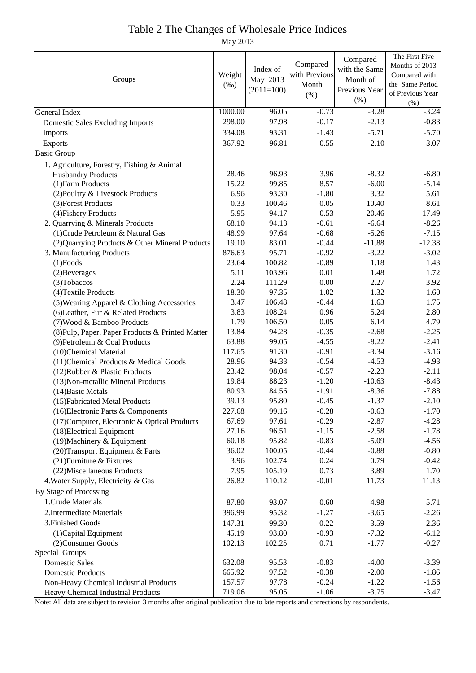# Table 2 The Changes of Wholesale Price Indices

May 2013

|                                                  |                   |              |                    | Compared           | The First Five     |
|--------------------------------------------------|-------------------|--------------|--------------------|--------------------|--------------------|
| Groups                                           |                   | Index of     | Compared           | with the Same      | Months of 2013     |
|                                                  |                   | May 2013     | with Previous      | Month of           | Compared with      |
|                                                  |                   | $(2011=100)$ | Month              | Previous Year      | the Same Period    |
|                                                  |                   |              | (% )               | (% )               | of Previous Year   |
|                                                  |                   | 96.05        |                    |                    | (%)                |
| General Index                                    | 1000.00<br>298.00 | 97.98        | $-0.73$<br>$-0.17$ | $-3.28$<br>$-2.13$ | $-3.24$<br>$-0.83$ |
| <b>Domestic Sales Excluding Imports</b>          |                   |              |                    |                    |                    |
| Imports                                          | 334.08            | 93.31        | $-1.43$            | $-5.71$            | $-5.70$            |
| Exports                                          | 367.92            | 96.81        | $-0.55$            | $-2.10$            | $-3.07$            |
| <b>Basic Group</b>                               |                   |              |                    |                    |                    |
| 1. Agriculture, Forestry, Fishing & Animal       |                   |              |                    |                    |                    |
| <b>Husbandry Products</b>                        | 28.46             | 96.93        | 3.96               | $-8.32$            | $-6.80$            |
| (1) Farm Products                                | 15.22             | 99.85        | 8.57               | $-6.00$            | $-5.14$            |
| (2) Poultry & Livestock Products                 | 6.96              | 93.30        | $-1.80$            | 3.32               | 5.61               |
| (3) Forest Products                              | 0.33              | 100.46       | 0.05               | 10.40              | 8.61               |
| (4) Fishery Products                             | 5.95              | 94.17        | $-0.53$            | $-20.46$           | $-17.49$           |
| 2. Quarrying & Minerals Products                 | 68.10             | 94.13        | $-0.61$            | $-6.64$            | $-8.26$            |
| (1) Crude Petroleum & Natural Gas                | 48.99             | 97.64        | $-0.68$            | $-5.26$            | $-7.15$            |
| (2) Quarrying Products & Other Mineral Products  | 19.10             | 83.01        | $-0.44$            | $-11.88$           | $-12.38$           |
| 3. Manufacturing Products                        | 876.63            | 95.71        | $-0.92$            | $-3.22$            | $-3.02$            |
| $(1)$ Foods                                      | 23.64             | 100.82       | $-0.89$            | 1.18               | 1.43               |
| (2) Beverages                                    | 5.11              | 103.96       | 0.01               | 1.48               | 1.72               |
| (3) Tobaccos                                     | 2.24              | 111.29       | 0.00               | 2.27               | 3.92               |
| (4) Textile Products                             | 18.30             | 97.35        | 1.02               | $-1.32$            | $-1.60$            |
| (5) Wearing Apparel & Clothing Accessories       | 3.47              | 106.48       | $-0.44$            | 1.63               | 1.75               |
| (6) Leather, Fur & Related Products              | 3.83              | 108.24       | 0.96               | 5.24               | 2.80               |
| (7) Wood & Bamboo Products                       | 1.79              | 106.50       | 0.05               | 6.14               | 4.79               |
| (8) Pulp, Paper, Paper Products & Printed Matter | 13.84             | 94.28        | $-0.35$            | $-2.68$            | $-2.25$            |
| (9) Petroleum & Coal Products                    | 63.88             | 99.05        | $-4.55$            | $-8.22$            | $-2.41$            |
| (10)Chemical Material                            | 117.65            | 91.30        | $-0.91$            | $-3.34$            | $-3.16$            |
| (11) Chemical Products & Medical Goods           | 28.96             | 94.33        | $-0.54$            | $-4.53$            | $-4.93$            |
| (12) Rubber & Plastic Products                   | 23.42             | 98.04        | $-0.57$            | $-2.23$            | $-2.11$            |
| (13) Non-metallic Mineral Products               | 19.84             | 88.23        | $-1.20$            | $-10.63$           | $-8.43$            |
| (14) Basic Metals                                | 80.93             | 84.56        | $-1.91$            | $-8.36$            | $-7.88$            |
| (15) Fabricated Metal Products                   | 39.13             | 95.80        | $-0.45$            | $-1.37$            | $-2.10$            |
| (16) Electronic Parts & Components               | 227.68            | 99.16        | $-0.28$            | $-0.63$            | $-1.70$            |
| (17) Computer, Electronic & Optical Products     | 67.69             | 97.61        | $-0.29$            | $-2.87$            | $-4.28$            |
| (18) Electrical Equipment                        | 27.16             | 96.51        | $-1.15$            | $-2.58$            | $-1.78$            |
| (19) Machinery & Equipment                       | 60.18             | 95.82        | $-0.83$            | $-5.09$            | $-4.56$            |
| (20) Transport Equipment & Parts                 | 36.02             | 100.05       | $-0.44$            | $-0.88$            | $-0.80$            |
| (21) Furniture & Fixtures                        | 3.96              | 102.74       | 0.24               | 0.79               | $-0.42$            |
| (22) Miscellaneous Products                      | 7.95              | 105.19       | 0.73               | 3.89               | 1.70               |
| 4. Water Supply, Electricity & Gas               | 26.82             | 110.12       | $-0.01$            | 11.73              | 11.13              |
| By Stage of Processing                           |                   |              |                    |                    |                    |
| 1. Crude Materials                               | 87.80             | 93.07        | $-0.60$            | $-4.98$            | $-5.71$            |
| 2. Intermediate Materials                        | 396.99            | 95.32        | $-1.27$            | $-3.65$            | $-2.26$            |
| 3. Finished Goods                                | 147.31            | 99.30        | 0.22               | $-3.59$            | $-2.36$            |
| (1) Capital Equipment                            | 45.19             | 93.80        | $-0.93$            | $-7.32$            | $-6.12$            |
| (2) Consumer Goods                               | 102.13            | 102.25       | 0.71               | $-1.77$            | $-0.27$            |
| Special Groups                                   |                   |              |                    |                    |                    |
| <b>Domestic Sales</b>                            | 632.08            | 95.53        | $-0.83$            | $-4.00$            | $-3.39$            |
| <b>Domestic Products</b>                         | 665.92            | 97.52        | $-0.38$            | $-2.00$            | $-1.86$            |
| Non-Heavy Chemical Industrial Products           | 157.57            | 97.78        | $-0.24$            | $-1.22$            | $-1.56$            |
| Heavy Chemical Industrial Products               | 719.06            | 95.05        | $-1.06$            | $-3.75$            | $-3.47$            |

Note: All data are subject to revision 3 months after original publication due to late reports and corrections by respondents.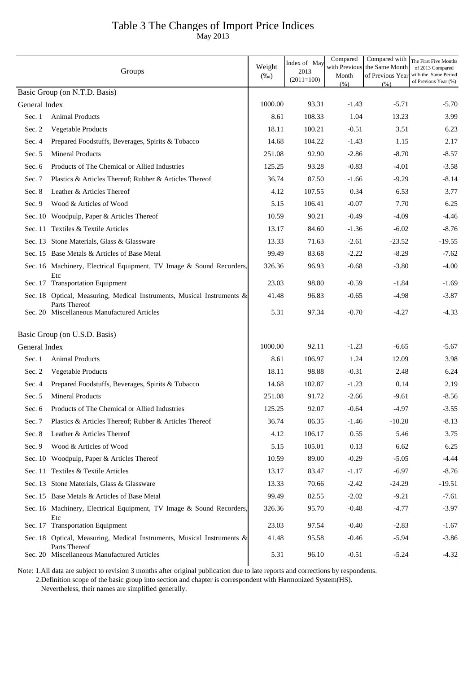## Table 3 The Changes of Import Price Indices

May 2013

|               | Groups                                                                                  | Weight<br>$(\%0)$ | Index of May<br>2013<br>$(2011=100)$ | Compared<br>with Previous<br>Month<br>(% ) | Compared with<br>the Same Month<br>of Previous Year | The First Five Months<br>of 2013 Compared<br>with the Same Period<br>of Previous Year (%) |
|---------------|-----------------------------------------------------------------------------------------|-------------------|--------------------------------------|--------------------------------------------|-----------------------------------------------------|-------------------------------------------------------------------------------------------|
|               | Basic Group (on N.T.D. Basis)                                                           |                   |                                      |                                            | (% )                                                |                                                                                           |
| General Index |                                                                                         | 1000.00           | 93.31                                | $-1.43$                                    | $-5.71$                                             | $-5.70$                                                                                   |
| Sec. 1        | <b>Animal Products</b>                                                                  | 8.61              | 108.33                               | 1.04                                       | 13.23                                               | 3.99                                                                                      |
| Sec. 2        | Vegetable Products                                                                      | 18.11             | 100.21                               | $-0.51$                                    | 3.51                                                | 6.23                                                                                      |
| Sec. 4        | Prepared Foodstuffs, Beverages, Spirits & Tobacco                                       | 14.68             | 104.22                               | $-1.43$                                    | 1.15                                                | 2.17                                                                                      |
| Sec. 5        | <b>Mineral Products</b>                                                                 | 251.08            | 92.90                                | $-2.86$                                    | $-8.70$                                             | $-8.57$                                                                                   |
| Sec. 6        | Products of The Chemical or Allied Industries                                           | 125.25            | 93.28                                | $-0.83$                                    | $-4.01$                                             | $-3.58$                                                                                   |
| Sec. 7        | Plastics & Articles Thereof; Rubber & Articles Thereof                                  | 36.74             | 87.50                                | $-1.66$                                    | $-9.29$                                             | $-8.14$                                                                                   |
| Sec. 8        | Leather & Articles Thereof                                                              | 4.12              | 107.55                               | 0.34                                       | 6.53                                                | 3.77                                                                                      |
| Sec. 9        | Wood & Articles of Wood                                                                 | 5.15              | 106.41                               | $-0.07$                                    | 7.70                                                | 6.25                                                                                      |
|               | Sec. 10 Woodpulp, Paper & Articles Thereof                                              | 10.59             | 90.21                                | $-0.49$                                    | $-4.09$                                             | $-4.46$                                                                                   |
|               | Sec. 11 Textiles & Textile Articles                                                     | 13.17             | 84.60                                | $-1.36$                                    | $-6.02$                                             | $-8.76$                                                                                   |
|               | Sec. 13 Stone Materials, Glass & Glassware                                              | 13.33             | 71.63                                | $-2.61$                                    | $-23.52$                                            | $-19.55$                                                                                  |
|               | Sec. 15 Base Metals & Articles of Base Metal                                            | 99.49             | 83.68                                | $-2.22$                                    | $-8.29$                                             | $-7.62$                                                                                   |
|               | Sec. 16 Machinery, Electrical Equipment, TV Image & Sound Recorders,<br>Etc             | 326.36            | 96.93                                | $-0.68$                                    | $-3.80$                                             | $-4.00$                                                                                   |
|               | Sec. 17 Transportation Equipment                                                        | 23.03             | 98.80                                | $-0.59$                                    | $-1.84$                                             | $-1.69$                                                                                   |
|               | Sec. 18 Optical, Measuring, Medical Instruments, Musical Instruments &<br>Parts Thereof | 41.48             | 96.83                                | $-0.65$                                    | $-4.98$                                             | $-3.87$                                                                                   |
|               | Sec. 20 Miscellaneous Manufactured Articles                                             | 5.31              | 97.34                                | $-0.70$                                    | $-4.27$                                             | $-4.33$                                                                                   |
|               | Basic Group (on U.S.D. Basis)                                                           |                   |                                      |                                            |                                                     |                                                                                           |
| General Index |                                                                                         | 1000.00           | 92.11                                | $-1.23$                                    | $-6.65$                                             | $-5.67$                                                                                   |
| Sec. 1        | <b>Animal Products</b>                                                                  | 8.61              | 106.97                               | 1.24                                       | 12.09                                               | 3.98                                                                                      |
| Sec. 2        | <b>Vegetable Products</b>                                                               | 18.11             | 98.88                                | $-0.31$                                    | 2.48                                                | 6.24                                                                                      |
| Sec. 4        | Prepared Foodstuffs, Beverages, Spirits & Tobacco                                       | 14.68             | 102.87                               | $-1.23$                                    | 0.14                                                | 2.19                                                                                      |
| Sec. 5        | <b>Mineral Products</b>                                                                 | 251.08            | 91.72                                | $-2.66$                                    | $-9.61$                                             | $-8.56$                                                                                   |
| Sec. 6        | Products of The Chemical or Allied Industries                                           | 125.25            | 92.07                                | $-0.64$                                    | $-4.97$                                             | $-3.55$                                                                                   |
| Sec. 7        | Plastics & Articles Thereof; Rubber & Articles Thereof                                  | 36.74             | 86.35                                | $-1.46$                                    | $-10.20$                                            | $-8.13$                                                                                   |
| Sec. 8        | Leather & Articles Thereof                                                              | 4.12              | 106.17                               | 0.55                                       | 5.46                                                | 3.75                                                                                      |
| Sec. 9        | Wood & Articles of Wood                                                                 | 5.15              | 105.01                               | 0.13                                       | 6.62                                                | 6.25                                                                                      |
|               | Sec. 10 Woodpulp, Paper & Articles Thereof                                              | 10.59             | 89.00                                | $-0.29$                                    | $-5.05$                                             | $-4.44$                                                                                   |
|               | Sec. 11 Textiles & Textile Articles                                                     | 13.17             | 83.47                                | $-1.17$                                    | $-6.97$                                             | $-8.76$                                                                                   |
|               | Sec. 13 Stone Materials, Glass & Glassware                                              | 13.33             | 70.66                                | $-2.42$                                    | $-24.29$                                            | $-19.51$                                                                                  |
|               | Sec. 15 Base Metals & Articles of Base Metal                                            | 99.49             | 82.55                                | $-2.02$                                    | $-9.21$                                             | $-7.61$                                                                                   |
|               | Sec. 16 Machinery, Electrical Equipment, TV Image & Sound Recorders,<br>Etc             | 326.36            | 95.70                                | $-0.48$                                    | $-4.77$                                             | $-3.97$                                                                                   |
|               | Sec. 17 Transportation Equipment                                                        | 23.03             | 97.54                                | $-0.40$                                    | $-2.83$                                             | $-1.67$                                                                                   |
|               | Sec. 18 Optical, Measuring, Medical Instruments, Musical Instruments &<br>Parts Thereof | 41.48             | 95.58                                | $-0.46$                                    | $-5.94$                                             | $-3.86$                                                                                   |
|               | Sec. 20 Miscellaneous Manufactured Articles                                             | 5.31              | 96.10                                | $-0.51$                                    | $-5.24$                                             | $-4.32$                                                                                   |

Note: 1.All data are subject to revision 3 months after original publication due to late reports and corrections by respondents.

2.Definition scope of the basic group into section and chapter is correspondent with Harmonized System(HS).

Nevertheless, their names are simplified generally.